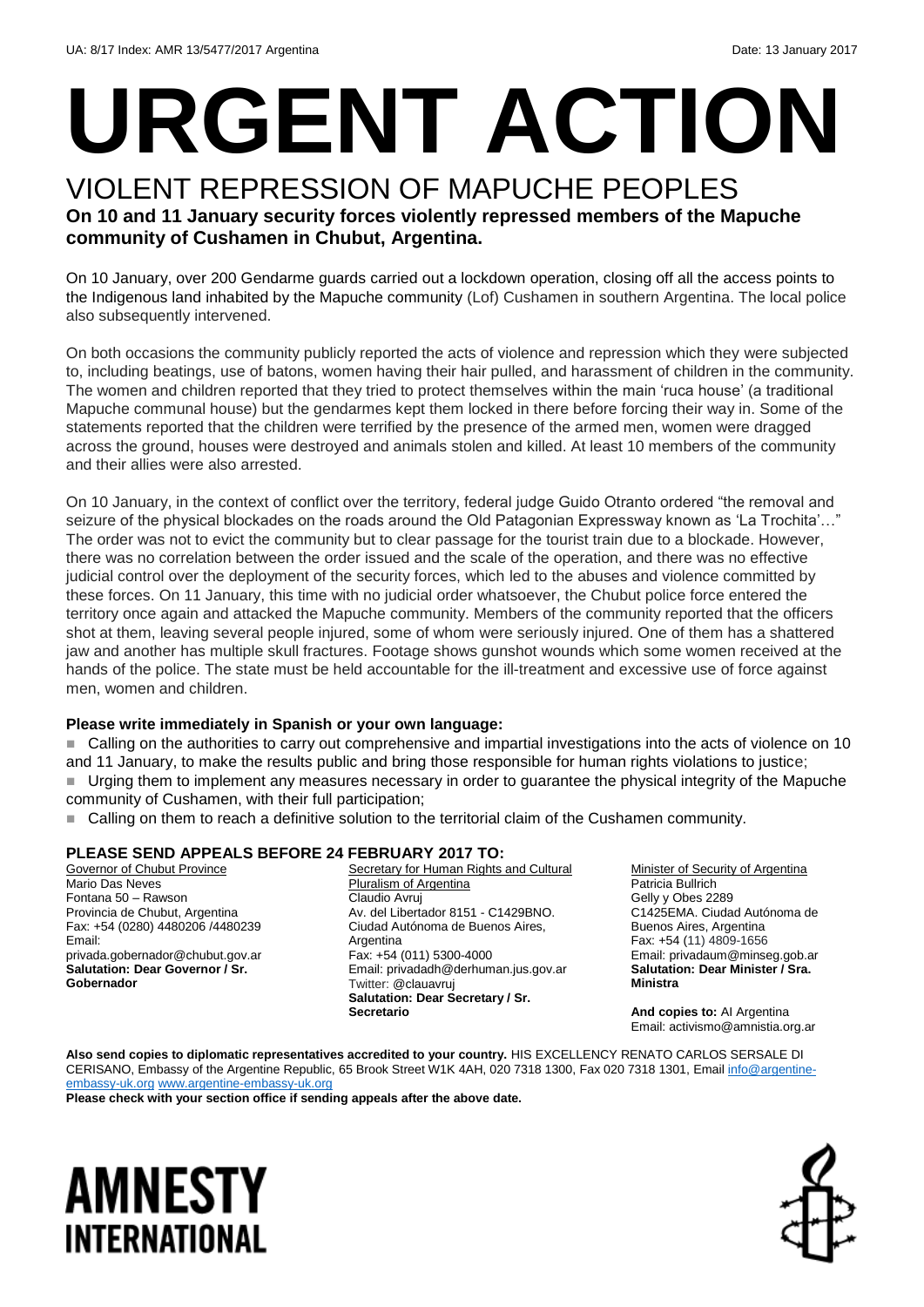# **URGENT ACTION**

### VIOLENT REPRESSION OF MAPUCHE PEOPLES **On 10 and 11 January security forces violently repressed members of the Mapuche community of Cushamen in Chubut, Argentina.**

On 10 January, over 200 Gendarme guards carried out a lockdown operation, closing off all the access points to the Indigenous land inhabited by the Mapuche community (Lof) Cushamen in southern Argentina. The local police also subsequently intervened.

On both occasions the community publicly reported the acts of violence and repression which they were subjected to, including beatings, use of batons, women having their hair pulled, and harassment of children in the community. The women and children reported that they tried to protect themselves within the main 'ruca house' (a traditional Mapuche communal house) but the gendarmes kept them locked in there before forcing their way in. Some of the statements reported that the children were terrified by the presence of the armed men, women were dragged across the ground, houses were destroyed and animals stolen and killed. At least 10 members of the community and their allies were also arrested.

On 10 January, in the context of conflict over the territory, federal judge Guido Otranto ordered "the removal and seizure of the physical blockades on the roads around the Old Patagonian Expressway known as 'La Trochita'…" The order was not to evict the community but to clear passage for the tourist train due to a blockade. However, there was no correlation between the order issued and the scale of the operation, and there was no effective judicial control over the deployment of the security forces, which led to the abuses and violence committed by these forces. On 11 January, this time with no judicial order whatsoever, the Chubut police force entered the territory once again and attacked the Mapuche community. Members of the community reported that the officers shot at them, leaving several people injured, some of whom were seriously injured. One of them has a shattered jaw and another has multiple skull fractures. Footage shows gunshot wounds which some women received at the hands of the police. The state must be held accountable for the ill-treatment and excessive use of force against men, women and children.

#### **Please write immediately in Spanish or your own language:**

 Calling on the authorities to carry out comprehensive and impartial investigations into the acts of violence on 10 and 11 January, to make the results public and bring those responsible for human rights violations to justice; Urging them to implement any measures necessary in order to guarantee the physical integrity of the Mapuche community of Cushamen, with their full participation;

■ Calling on them to reach a definitive solution to the territorial claim of the Cushamen community.

#### **PLEASE SEND APPEALS BEFORE 24 FEBRUARY 2017 TO:**

Governor of Chubut Province Mario Das Neves Fontana 50 – Rawson Provincia de Chubut, Argentina Fax: +54 (0280) 4480206 /4480239 Email: privada.gobernador@chubut.gov.ar **Salutation: Dear Governor / Sr. Gobernador**

Secretary for Human Rights and Cultural Pluralism of Argentina Claudio Avruj Av. del Libertador 8151 - C1429BNO. Ciudad Autónoma de Buenos Aires, Argentina Fax: +54 (011) 5300-4000 Email: privadadh@derhuman.jus.gov.ar Twitter: @clauavruj **Salutation: Dear Secretary / Sr. Secretario**

Minister of Security of Argentina Patricia Bullrich Gelly y Obes 2289 C1425EMA. Ciudad Autónoma de Buenos Aires, Argentina Fax: +54 (11) 4809-1656 Email: privadaum@minseg.gob.ar **Salutation: Dear Minister / Sra. Ministra**

**And copies to:** AI Argentina Email: activismo@amnistia.org.ar

**Also send copies to diplomatic representatives accredited to your country.** HIS EXCELLENCY RENATO CARLOS SERSALE DI CERISANO, Embassy of the Argentine Republic, 65 Brook Street W1K 4AH, 020 7318 1300, Fax 020 7318 1301, Email [info@argentine](mailto:info@argentine-embassy-uk.org)[embassy-uk.org](mailto:info@argentine-embassy-uk.org) [www.argentine-embassy-uk.org](http://www.argentine-embassy-uk.org/)

**Please check with your section office if sending appeals after the above date.**